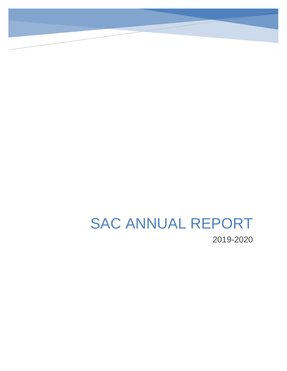# SAC ANNUAL REPORT 2019-2020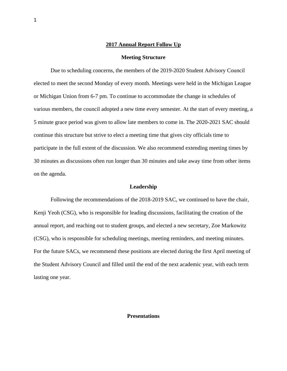## **2017 Annual Report Follow Up**

## **Meeting Structure**

Due to scheduling concerns, the members of the 2019-2020 Student Advisory Council elected to meet the second Monday of every month. Meetings were held in the Michigan League or Michigan Union from 6-7 pm. To continue to accommodate the change in schedules of various members, the council adopted a new time every semester. At the start of every meeting, a 5 minute grace period was given to allow late members to come in. The 2020-2021 SAC should continue this structure but strive to elect a meeting time that gives city officials time to participate in the full extent of the discussion. We also recommend extending meeting times by 30 minutes as discussions often run longer than 30 minutes and take away time from other items on the agenda.

## **Leadership**

Following the recommendations of the 2018-2019 SAC, we continued to have the chair, Kenji Yeoh (CSG), who is responsible for leading discussions, facilitating the creation of the annual report, and reaching out to student groups, and elected a new secretary, Zoe Markowitz (CSG), who is responsible for scheduling meetings, meeting reminders, and meeting minutes. For the future SACs, we recommend these positions are elected during the first April meeting of the Student Advisory Council and filled until the end of the next academic year, with each term lasting one year.

## **Presentations**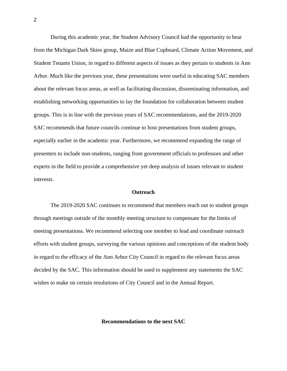During this academic year, the Student Advisory Council had the opportunity to hear from the Michigan Dark Skies group, Maize and Blue Cupboard, Climate Action Movement, and Student Tenants Union, in regard to different aspects of issues as they pertain to students in Ann Arbor. Much like the previous year, these presentations were useful in educating SAC members about the relevant focus areas, as well as facilitating discussion, disseminating information, and establishing networking opportunities to lay the foundation for collaboration between student groups. This is in line with the previous years of SAC recommendations, and the 2019-2020 SAC recommends that future councils continue to host presentations from student groups, especially earlier in the academic year. Furthermore, we recommend expanding the range of presenters to include non-students, ranging from government officials to professors and other experts in the field to provide a comprehensive yet deep analysis of issues relevant to student interests.

#### **Outreach**

The 2019-2020 SAC continues to recommend that members reach out to student groups through meetings outside of the monthly meeting structure to compensate for the limits of meeting presentations. We recommend selecting one member to lead and coordinate outreach efforts with student groups, surveying the various opinions and conceptions of the student body in regard to the efficacy of the Ann Arbor City Council in regard to the relevant focus areas decided by the SAC. This information should be used to supplement any statements the SAC wishes to make on certain resolutions of City Council and in the Annual Report.

## **Recommendations to the next SAC**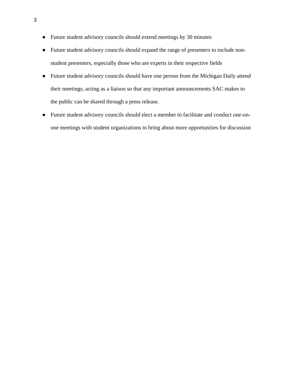- Future student advisory councils should extend meetings by 30 minutes
- Future student advisory councils should expand the range of presenters to include nonstudent presenters, especially those who are experts in their respective fields
- Future student advisory councils should have one person from the Michigan Daily attend their meetings, acting as a liaison so that any important announcements SAC makes to the public can be shared through a press release.
- Future student advisory councils should elect a member to facilitate and conduct one-onone meetings with student organizations to bring about more opportunities for discussion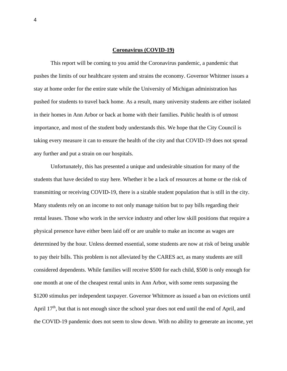## **Coronavirus (COVID-19)**

This report will be coming to you amid the Coronavirus pandemic, a pandemic that pushes the limits of our healthcare system and strains the economy. Governor Whitmer issues a stay at home order for the entire state while the University of Michigan administration has pushed for students to travel back home. As a result, many university students are either isolated in their homes in Ann Arbor or back at home with their families. Public health is of utmost importance, and most of the student body understands this. We hope that the City Council is taking every measure it can to ensure the health of the city and that COVID-19 does not spread any further and put a strain on our hospitals.

Unfortunately, this has presented a unique and undesirable situation for many of the students that have decided to stay here. Whether it be a lack of resources at home or the risk of transmitting or receiving COVID-19, there is a sizable student population that is still in the city. Many students rely on an income to not only manage tuition but to pay bills regarding their rental leases. Those who work in the service industry and other low skill positions that require a physical presence have either been laid off or are unable to make an income as wages are determined by the hour. Unless deemed essential, some students are now at risk of being unable to pay their bills. This problem is not alleviated by the CARES act, as many students are still considered dependents. While families will receive \$500 for each child, \$500 is only enough for one month at one of the cheapest rental units in Ann Arbor, with some rents surpassing the \$1200 stimulus per independent taxpayer. Governor Whitmore as issued a ban on evictions until April  $17<sup>th</sup>$ , but that is not enough since the school year does not end until the end of April, and the COVID-19 pandemic does not seem to slow down. With no ability to generate an income, yet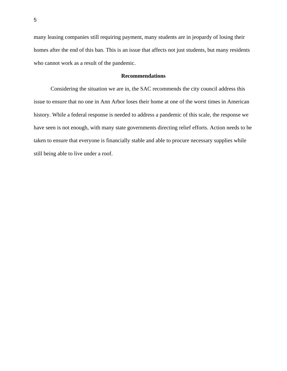many leasing companies still requiring payment, many students are in jeopardy of losing their homes after the end of this ban. This is an issue that affects not just students, but many residents who cannot work as a result of the pandemic.

# **Recommendations**

Considering the situation we are in, the SAC recommends the city council address this issue to ensure that no one in Ann Arbor loses their home at one of the worst times in American history. While a federal response is needed to address a pandemic of this scale, the response we have seen is not enough, with many state governments directing relief efforts. Action needs to be taken to ensure that everyone is financially stable and able to procure necessary supplies while still being able to live under a roof.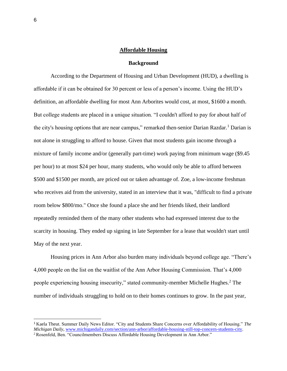## **Affordable Housing**

#### **Background**

According to the Department of Housing and Urban Development (HUD), a dwelling is affordable if it can be obtained for 30 percent or less of a person's income. Using the HUD's definition, an affordable dwelling for most Ann Arborites would cost, at most, \$1600 a month. But college students are placed in a unique situation. "I couldn't afford to pay for about half of the city's housing options that are near campus," remarked then-senior Darian Razdar.<sup>1</sup> Darian is not alone in struggling to afford to house. Given that most students gain income through a mixture of family income and/or (generally part-time) work paying from minimum wage (\$9.45 per hour) to at most \$24 per hour, many students, who would only be able to afford between \$500 and \$1500 per month, are priced out or taken advantage of. Zoe, a low-income freshman who receives aid from the university, stated in an interview that it was, "difficult to find a private room below \$800/mo." Once she found a place she and her friends liked, their landlord repeatedly reminded them of the many other students who had expressed interest due to the scarcity in housing. They ended up signing in late September for a lease that wouldn't start until May of the next year.

Housing prices in Ann Arbor also burden many individuals beyond college age. "There's 4,000 people on the list on the waitlist of the Ann Arbor Housing Commission. That's 4,000 people experiencing housing insecurity," stated community-member Michelle Hughes.<sup>2</sup> The number of individuals struggling to hold on to their homes continues to grow. In the past year,

<sup>1</sup> Kaela Theut. Summer Daily News Editor. "City and Students Share Concerns over Affordability of Housing." *The Michigan Daily*, [www.michigandaily.com/section/ann-arbor/affordable-housing-still-top-concern-students-city.](http://www.michigandaily.com/section/ann-arbor/affordable-housing-still-top-concern-students-city)

<sup>2</sup> Rosenfeld, Ben. "Councilmembers Discuss Affordable Housing Development in Ann Arbor."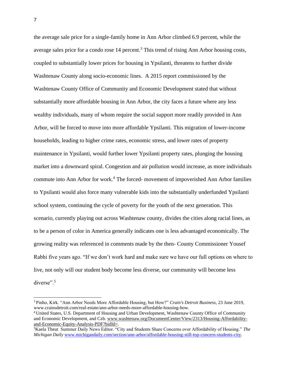the average sale price for a single-family home in Ann Arbor climbed 6.9 percent, while the average sales price for a condo rose 14 percent.<sup>3</sup> This trend of rising Ann Arbor housing costs, coupled to substantially lower prices for housing in Ypsilanti, threatens to further divide Washtenaw County along socio-economic lines. A 2015 report commissioned by the Washtenaw County Office of Community and Economic Development stated that without substantially more affordable housing in Ann Arbor, the city faces a future where any less wealthy individuals, many of whom require the social support more readily provided in Ann Arbor, will be forced to move into more affordable Ypsilanti. This migration of lower-income households, leading to higher crime rates, economic stress, and lower rates of property maintenance in Ypsilanti, would further lower Ypsilanti property rates, plunging the housing market into a downward spiral. Congestion and air pollution would increase, as more individuals commute into Ann Arbor for work.<sup>4</sup> The forced- movement of impoverished Ann Arbor families to Ypsilanti would also force many vulnerable kids into the substantially underfunded Ypsilanti school system, continuing the cycle of poverty for the youth of the next generation. This scenario, currently playing out across Washtenaw county, divides the cities along racial lines, as to be a person of color in America generally indicates one is less advantaged economically. The growing reality was referenced in comments made by the then- County Commissioner Yousef Rabhi five years ago. "If we don't work hard and make sure we have our full options on where to live, not only will our student body become less diverse, our community will become less diverse".<sup>5</sup>

<sup>3</sup> Pinho, Kirk. "Ann Arbor Needs More Affordable Housing, but How?" *Crain's Detroit Business*, 23 June 2019, www.crainsdetroit.com/real-estate/ann-arbor-needs-more-affordable-housing-how.

<sup>4</sup> United States, U.S. Department of Housing and Urban Development, Washtenaw County Office of Community and Economic Development, and Czb. [www.washtenaw.org/DocumentCenter/View/2313/Housing-Affordability](http://www.washtenaw.org/DocumentCenter/View/2313/Housing-Affordability-and-Economic-Equity-Analysis-PDF?bidId=)[and-Economic-Equity-Analysis-PDF?bidId=.](http://www.washtenaw.org/DocumentCenter/View/2313/Housing-Affordability-and-Economic-Equity-Analysis-PDF?bidId=)

<sup>5</sup>Kaela Theut Summer Daily News Editor. "City and Students Share Concerns over Affordability of Housing." *The Michigan Daily* [www.michigandaily.com/section/ann-arbor/affordable-housing-still-top-concern-students-city.](http://www.michigandaily.com/section/ann-arbor/affordable-housing-still-top-concern-students-city)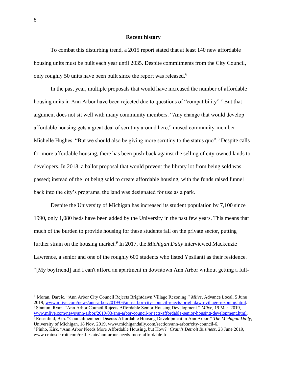## **Recent history**

To combat this disturbing trend, a 2015 report stated that at least 140 new affordable housing units must be built each year until 2035. Despite commitments from the City Council, only roughly 50 units have been built since the report was released.<sup>6</sup>

In the past year, multiple proposals that would have increased the number of affordable housing units in Ann Arbor have been rejected due to questions of "compatibility".<sup>7</sup> But that argument does not sit well with many community members. "Any change that would develop affordable housing gets a great deal of scrutiny around here," mused community-member Michelle Hughes. "But we should also be giving more scrutiny to the status quo".<sup>8</sup> Despite calls for more affordable housing, there has been push-back against the selling of city-owned lands to developers. In 2018, a ballot proposal that would prevent the library lot from being sold was passed; instead of the lot being sold to create affordable housing, with the funds raised funnel back into the city's programs, the land was designated for use as a park.

Despite the University of Michigan has increased its student population by 7,100 since 1990, only 1,080 beds have been added by the University in the past few years. This means that much of the burden to provide housing for these students fall on the private sector, putting further strain on the housing market.<sup>9</sup> In 2017, the *Michigan Daily* interviewed Mackenzie Lawrence, a senior and one of the roughly 600 students who listed Ypsilanti as their residence. "[My boyfriend] and I can't afford an apartment in downtown Ann Arbor without getting a full-

<sup>6</sup> Moran, Darcie. "Ann Arbor City Council Rejects Brightdawn Village Rezoning." *Mlive*, Advance Local, 5 June 2019, [www.mlive.com/news/ann-arbor/2019/06/ann-arbor-city-council-rejects-brightdawn-village-rezoning.html.](http://www.mlive.com/news/ann-arbor/2019/06/ann-arbor-city-council-rejects-brightdawn-village-rezoning.html) <sup>7</sup> Stanton, Ryan. "Ann Arbor Council Rejects Affordable Senior Housing Development." *Mlive*, 19 Mar. 2019, [www.mlive.com/news/ann-arbor/2019/03/ann-arbor-council-rejects-affordable-senior-housing-development.html.](http://www.mlive.com/news/ann-arbor/2019/03/ann-arbor-council-rejects-affordable-senior-housing-development.html)

<sup>8</sup> Rosenfeld, Ben. "Councilmembers Discuss Affordable Housing Development in Ann Arbor." *The Michigan Daily*, University of Michigan, 18 Nov. 2019, www.michigandaily.com/section/ann-arbor/city-council-6.

<sup>9</sup> Pinho, Kirk. "Ann Arbor Needs More Affordable Housing, but How?" *Crain's Detroit Business*, 23 June 2019, www.crainsdetroit.com/real-estate/ann-arbor-needs-more-affordable-h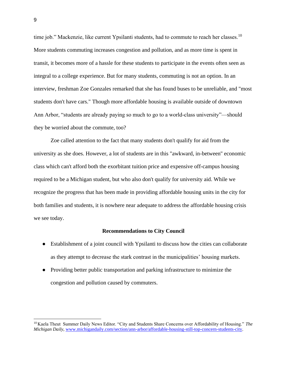time job." Mackenzie, like current Ypsilanti students, had to commute to reach her classes.<sup>10</sup> More students commuting increases congestion and pollution, and as more time is spent in transit, it becomes more of a hassle for these students to participate in the events often seen as integral to a college experience. But for many students, commuting is not an option. In an interview, freshman Zoe Gonzales remarked that she has found buses to be unreliable, and "most students don't have cars." Though more affordable housing is available outside of downtown Ann Arbor, "students are already paying so much to go to a world-class university"—should they be worried about the commute, too?

Zoe called attention to the fact that many students don't qualify for aid from the university as she does. However, a lot of students are in this "awkward, in-between'' economic class which can't afford both the exorbitant tuition price and expensive off-campus housing required to be a Michigan student, but who also don't qualify for university aid. While we recognize the progress that has been made in providing affordable housing units in the city for both families and students, it is nowhere near adequate to address the affordable housing crisis we see today.

#### **Recommendations to City Council**

- Establishment of a joint council with Ypsilanti to discuss how the cities can collaborate as they attempt to decrease the stark contrast in the municipalities' housing markets.
- Providing better public transportation and parking infrastructure to minimize the congestion and pollution caused by commuters.

<sup>10</sup> Kaela Theut Summer Daily News Editor. "City and Students Share Concerns over Affordability of Housing." *The Michigan Daily*, [www.michigandaily.com/section/ann-arbor/affordable-housing-still-top-concern-students-city.](http://www.michigandaily.com/section/ann-arbor/affordable-housing-still-top-concern-students-city)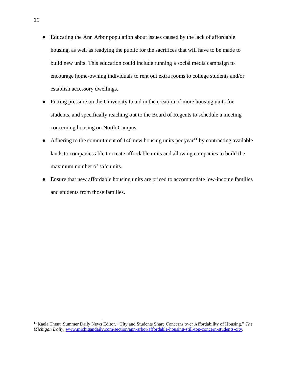- Educating the Ann Arbor population about issues caused by the lack of affordable housing, as well as readying the public for the sacrifices that will have to be made to build new units. This education could include running a social media campaign to encourage home-owning individuals to rent out extra rooms to college students and/or establish accessory dwellings.
- Putting pressure on the University to aid in the creation of more housing units for students, and specifically reaching out to the Board of Regents to schedule a meeting concerning housing on North Campus.
- Adhering to the commitment of 140 new housing units per year<sup>11</sup> by contracting available lands to companies able to create affordable units and allowing companies to build the maximum number of safe units.
- Ensure that new affordable housing units are priced to accommodate low-income families and students from those families.

<sup>11</sup> Kaela Theut Summer Daily News Editor. "City and Students Share Concerns over Affordability of Housing." *The Michigan Daily*, [www.michigandaily.com/section/ann-arbor/affordable-housing-still-top-concern-students-city.](http://www.michigandaily.com/section/ann-arbor/affordable-housing-still-top-concern-students-city)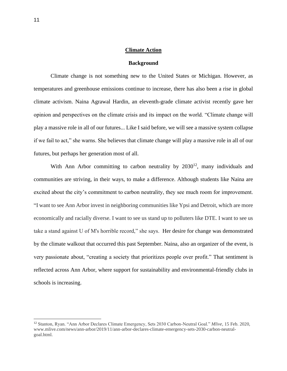## **Climate Action**

#### **Background**

Climate change is not something new to the United States or Michigan. However, as temperatures and greenhouse emissions continue to increase, there has also been a rise in global climate activism. Naina Agrawal Hardin, an eleventh-grade climate activist recently gave her opinion and perspectives on the climate crisis and its impact on the world. "Climate change will play a massive role in all of our futures... Like I said before, we will see a massive system collapse if we fail to act," she warns. She believes that climate change will play a massive role in all of our futures, but perhaps her generation most of all.

With Ann Arbor committing to carbon neutrality by  $2030^{12}$ , many individuals and communities are striving, in their ways, to make a difference. Although students like Naina are excited about the city's commitment to carbon neutrality, they see much room for improvement. "I want to see Ann Arbor invest in neighboring communities like Ypsi and Detroit, which are more economically and racially diverse. I want to see us stand up to polluters like DTE. I want to see us take a stand against U of M's horrible record," she says. Her desire for change was demonstrated by the climate walkout that occurred this past September. Naina, also an organizer of the event, is very passionate about, "creating a society that prioritizes people over profit." That sentiment is reflected across Ann Arbor, where support for sustainability and environmental-friendly clubs in schools is increasing.

<sup>12</sup> Stanton, Ryan. "Ann Arbor Declares Climate Emergency, Sets 2030 Carbon-Neutral Goal." *Mlive*, 15 Feb. 2020, www.mlive.com/news/ann-arbor/2019/11/ann-arbor-declares-climate-emergency-sets-2030-carbon-neutralgoal.html.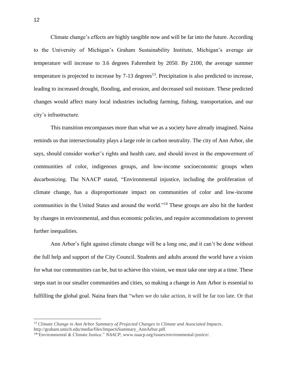Climate change's effects are highly tangible now and will be far into the future. According to the University of Michigan's Graham Sustainability Institute, Michigan's average air temperature will increase to 3.6 degrees Fahrenheit by 2050. By 2100, the average summer temperature is projected to increase by  $7-13$  degrees<sup>13</sup>. Precipitation is also predicted to increase, leading to increased drought, flooding, and erosion, and decreased soil moisture. These predicted changes would affect many local industries including farming, fishing, transportation, and our city's infrastructure.

This transition encompasses more than what we as a society have already imagined. Naina reminds us that intersectionality plays a large role in carbon neutrality. The city of Ann Arbor, she says, should consider worker's rights and health care, and should invest in the empowerment of communities of color, indigenous groups, and low-income socioeconomic groups when decarbonizing. The NAACP stated, "Environmental injustice, including the proliferation of climate change, has a disproportionate impact on communities of color and low-income communities in the United States and around the world."<sup>14</sup> These groups are also hit the hardest by changes in environmental, and thus economic policies, and require accommodations to prevent further inequalities.

Ann Arbor's fight against climate change will be a long one, and it can't be done without the full help and support of the City Council. Students and adults around the world have a vision for what our communities can be, but to achieve this vision, we must take one step at a time. These steps start in our smaller communities and cities, so making a change in Ann Arbor is essential to fulfilling the global goal. Naina fears that "when we do take action, it will be far too late. Or that

<sup>13</sup> *Climate Change in Ann Arbor Summary of Projected Changes in Climate and Associated Impacts*. http://graham.umich.edu/media/files/ImpactsSummary\_AnnArbor.pdf.

<sup>14</sup>"Environmental & Climate Justice." *NAACP*, www.naacp.org/issues/environmental-justice/.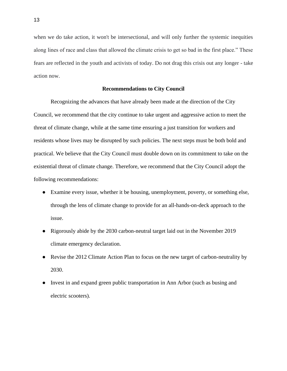when we do take action, it won't be intersectional, and will only further the systemic inequities along lines of race and class that allowed the climate crisis to get so bad in the first place." These fears are reflected in the youth and activists of today. Do not drag this crisis out any longer - take action now.

# **Recommendations to City Council**

Recognizing the advances that have already been made at the direction of the City Council, we recommend that the city continue to take urgent and aggressive action to meet the threat of climate change, while at the same time ensuring a just transition for workers and residents whose lives may be disrupted by such policies. The next steps must be both bold and practical. We believe that the City Council must double down on its commitment to take on the existential threat of climate change. Therefore, we recommend that the City Council adopt the following recommendations:

- Examine every issue, whether it be housing, unemployment, poverty, or something else, through the lens of climate change to provide for an all-hands-on-deck approach to the issue.
- Rigorously abide by the 2030 carbon-neutral target laid out in the November 2019 climate emergency declaration.
- Revise the 2012 Climate Action Plan to focus on the new target of carbon-neutrality by 2030.
- Invest in and expand green public transportation in Ann Arbor (such as busing and electric scooters).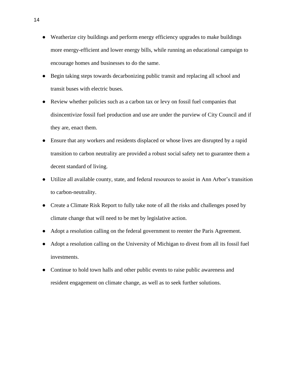- Weatherize city buildings and perform energy efficiency upgrades to make buildings more energy-efficient and lower energy bills, while running an educational campaign to encourage homes and businesses to do the same.
- Begin taking steps towards decarbonizing public transit and replacing all school and transit buses with electric buses.
- Review whether policies such as a carbon tax or levy on fossil fuel companies that disincentivize fossil fuel production and use are under the purview of City Council and if they are, enact them.
- Ensure that any workers and residents displaced or whose lives are disrupted by a rapid transition to carbon neutrality are provided a robust social safety net to guarantee them a decent standard of living.
- Utilize all available county, state, and federal resources to assist in Ann Arbor's transition to carbon-neutrality.
- Create a Climate Risk Report to fully take note of all the risks and challenges posed by climate change that will need to be met by legislative action.
- Adopt a resolution calling on the federal government to reenter the Paris Agreement.
- Adopt a resolution calling on the University of Michigan to divest from all its fossil fuel investments.
- Continue to hold town halls and other public events to raise public awareness and resident engagement on climate change, as well as to seek further solutions.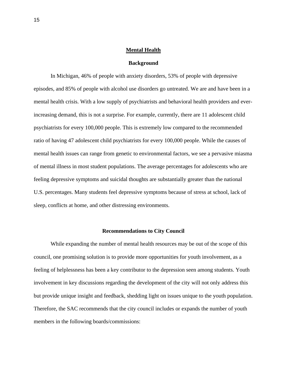## **Mental Health**

#### **Background**

In Michigan, 46% of people with anxiety disorders, 53% of people with depressive episodes, and 85% of people with alcohol use disorders go untreated. We are and have been in a mental health crisis. With a low supply of psychiatrists and behavioral health providers and everincreasing demand, this is not a surprise. For example, currently, there are 11 adolescent child psychiatrists for every 100,000 people. This is extremely low compared to the recommended ratio of having 47 adolescent child psychiatrists for every 100,000 people. While the causes of mental health issues can range from genetic to environmental factors, we see a pervasive miasma of mental illness in most student populations. The average percentages for adolescents who are feeling depressive symptoms and suicidal thoughts are substantially greater than the national U.S. percentages. Many students feel depressive symptoms because of stress at school, lack of sleep, conflicts at home, and other distressing environments.

#### **Recommendations to City Council**

While expanding the number of mental health resources may be out of the scope of this council, one promising solution is to provide more opportunities for youth involvement, as a feeling of helplessness has been a key contributor to the depression seen among students. Youth involvement in key discussions regarding the development of the city will not only address this but provide unique insight and feedback, shedding light on issues unique to the youth population. Therefore, the SAC recommends that the city council includes or expands the number of youth members in the following boards/commissions: